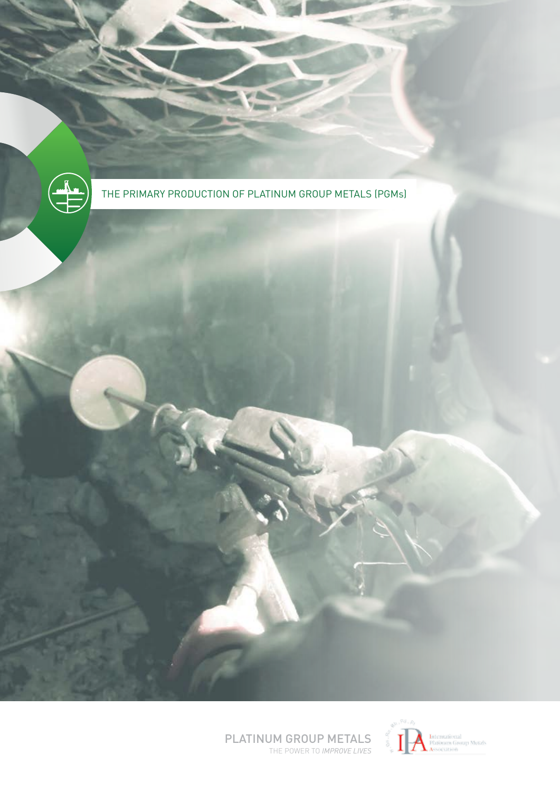

THE PRIMARY PRODUCTION OF PLATINUM GROUP METALS (PGMs)



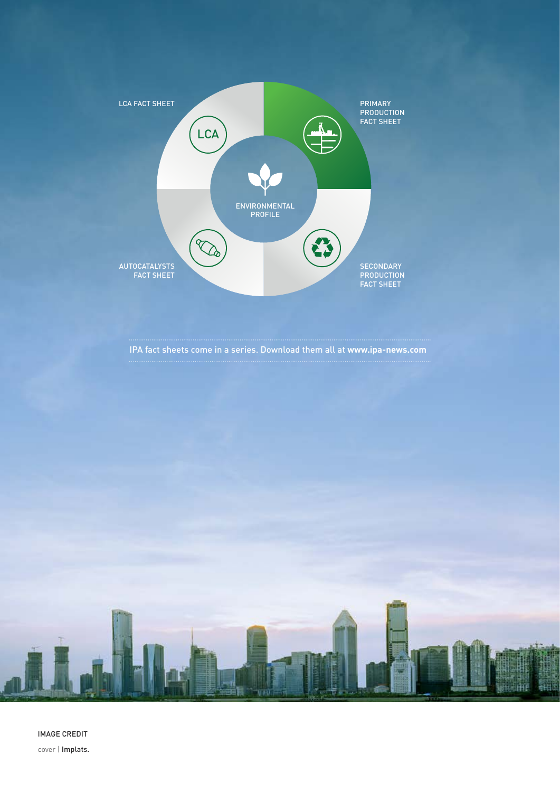

IPA fact sheets come in a series. Download them all at **www.ipa-news.com**

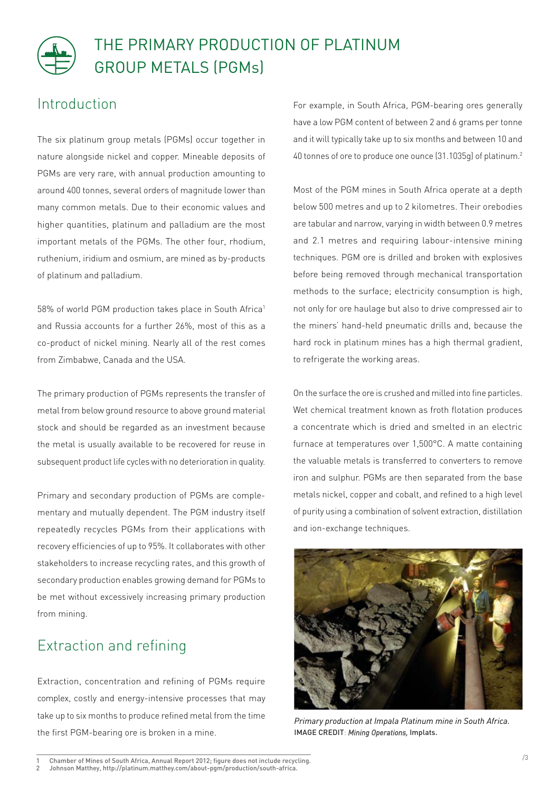## THE PRIMARY PRODUCTION OF PLATINUM GROUP METALS (PGMs)

## Introduction

The six platinum group metals (PGMs) occur together in nature alongside nickel and copper. Mineable deposits of PGMs are very rare, with annual production amounting to around 400 tonnes, several orders of magnitude lower than many common metals. Due to their economic values and higher quantities, platinum and palladium are the most important metals of the PGMs. The other four, rhodium, ruthenium, iridium and osmium, are mined as by-products of platinum and palladium.

58% of world PGM production takes place in South Africa<sup>1</sup> and Russia accounts for a further 26%, most of this as a co-product of nickel mining. Nearly all of the rest comes from Zimbabwe, Canada and the USA.

The primary production of PGMs represents the transfer of metal from below ground resource to above ground material stock and should be regarded as an investment because the metal is usually available to be recovered for reuse in subsequent product life cycles with no deterioration in quality.

Primary and secondary production of PGMs are complementary and mutually dependent. The PGM industry itself repeatedly recycles PGMs from their applications with recovery efficiencies of up to 95%. It collaborates with other stakeholders to increase recycling rates, and this growth of secondary production enables growing demand for PGMs to be met without excessively increasing primary production from mining.

## Extraction and refining

Extraction, concentration and refining of PGMs require complex, costly and energy-intensive processes that may take up to six months to produce refined metal from the time the first PGM-bearing ore is broken in a mine.

For example, in South Africa, PGM-bearing ores generally have a low PGM content of between 2 and 6 grams per tonne and it will typically take up to six months and between 10 and 40 tonnes of ore to produce one ounce (31.1035g) of platinum.2

Most of the PGM mines in South Africa operate at a depth below 500 metres and up to 2 kilometres. Their orebodies are tabular and narrow, varying in width between 0.9 metres and 2.1 metres and requiring labour-intensive mining techniques. PGM ore is drilled and broken with explosives before being removed through mechanical transportation methods to the surface; electricity consumption is high, not only for ore haulage but also to drive compressed air to the miners' hand-held pneumatic drills and, because the hard rock in platinum mines has a high thermal gradient, to refrigerate the working areas.

On the surface the ore is crushed and milled into fine particles. Wet chemical treatment known as froth flotation produces a concentrate which is dried and smelted in an electric furnace at temperatures over 1,500°C. A matte containing the valuable metals is transferred to converters to remove iron and sulphur. PGMs are then separated from the base metals nickel, copper and cobalt, and refined to a high level of purity using a combination of solvent extraction, distillation and ion-exchange techniques.



*Primary production at Impala Platinum mine in South Africa.* IMAGE CREDIT: *Mining Operations,* Implats.

<sup>1</sup> Chamber of Mines of South Africa, Annual Report 2012; figure does not include recycling.

<sup>2</sup> Johnson Matthey, http://platinum.matthey.com/about-pgm/production/south-africa.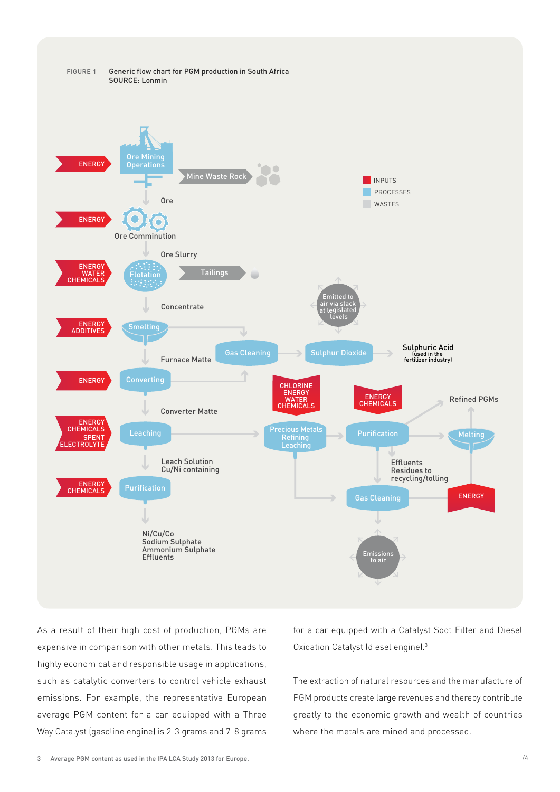

As a result of their high cost of production, PGMs are expensive in comparison with other metals. This leads to highly economical and responsible usage in applications, such as catalytic converters to control vehicle exhaust emissions. For example, the representative European average PGM content for a car equipped with a Three Way Catalyst (gasoline engine) is 2-3 grams and 7-8 grams for a car equipped with a Catalyst Soot Filter and Diesel Oxidation Catalyst (diesel engine).3

The extraction of natural resources and the manufacture of PGM products create large revenues and thereby contribute greatly to the economic growth and wealth of countries where the metals are mined and processed.

<sup>3</sup> Average PGM content as used in the IPA LCA Study 2013 for Europe.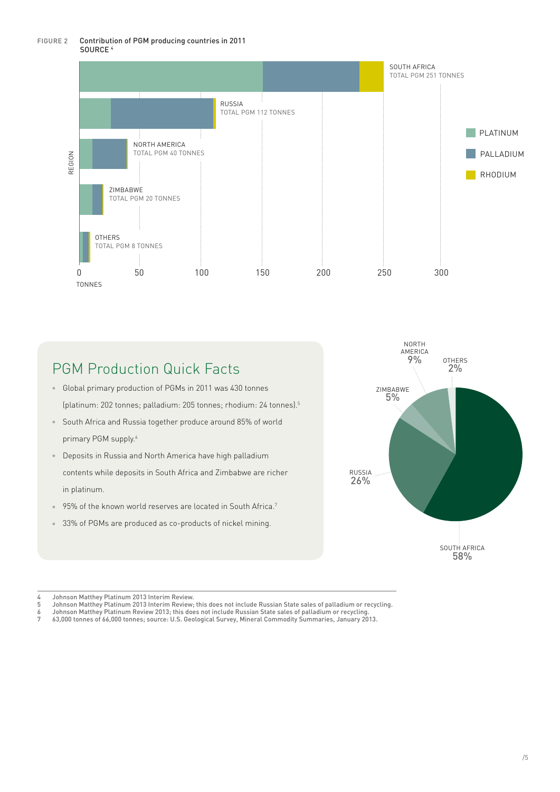#### FIGURE 2 Contribution of PGM producing countries in 2011 SOURCE 4



## PGM Production Quick Facts

- **Global primary production of PGMs in 2011 was 430 tonnes** (platinum: 202 tonnes; palladium: 205 tonnes; rhodium: 24 tonnes).5
- <sup>8</sup> South Africa and Russia together produce around 85% of world primary PGM supply.<sup>6</sup>
- **Deposits in Russia and North America have high palladium** contents while deposits in South Africa and Zimbabwe are richer in platinum.
- 95% of the known world reserves are located in South Africa.<sup>7</sup>
- <sup>33%</sup> of PGMs are produced as co-products of nickel mining.



- Johnson Matthey Platinum Review 2013; this does not include Russian State sales of palladium or recycling.
- 7 63,000 tonnes of 66,000 tonnes; source: U.S. Geological Survey, Mineral Commodity Summaries, January 2013.

<sup>4</sup> Johnson Matthey Platinum 2013 Interim Review.

<sup>5</sup> Johnson Matthey Platinum 2013 Interim Review; this does not include Russian State sales of palladium or recycling.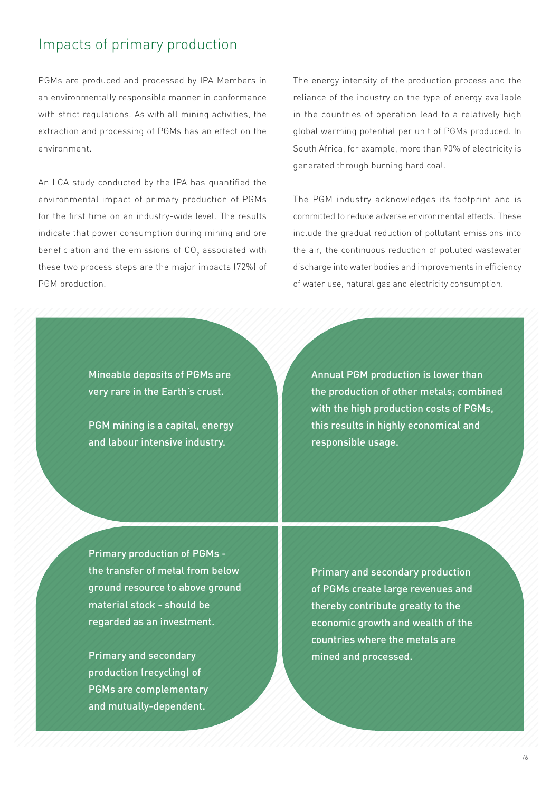### Impacts of primary production

PGMs are produced and processed by IPA Members in an environmentally responsible manner in conformance with strict regulations. As with all mining activities, the extraction and processing of PGMs has an effect on the environment.

An LCA study conducted by the IPA has quantified the environmental impact of primary production of PGMs for the first time on an industry-wide level. The results indicate that power consumption during mining and ore beneficiation and the emissions of CO $_2$  associated with these two process steps are the major impacts (72%) of PGM production.

The energy intensity of the production process and the reliance of the industry on the type of energy available in the countries of operation lead to a relatively high global warming potential per unit of PGMs produced. In South Africa, for example, more than 90% of electricity is generated through burning hard coal.

The PGM industry acknowledges its footprint and is committed to reduce adverse environmental effects. These include the gradual reduction of pollutant emissions into the air, the continuous reduction of polluted wastewater discharge into water bodies and improvements in efficiency of water use, natural gas and electricity consumption.

Mineable deposits of PGMs are very rare in the Earth's crust.

PGM mining is a capital, energy and labour intensive industry.

Annual PGM production is lower than the production of other metals; combined with the high production costs of PGMs, this results in highly economical and responsible usage.

Primary production of PGMs the transfer of metal from below ground resource to above ground material stock - should be regarded as an investment.

Primary and secondary production (recycling) of PGMs are complementary and mutually-dependent.

Primary and secondary production of PGMs create large revenues and thereby contribute greatly to the economic growth and wealth of the countries where the metals are mined and processed.